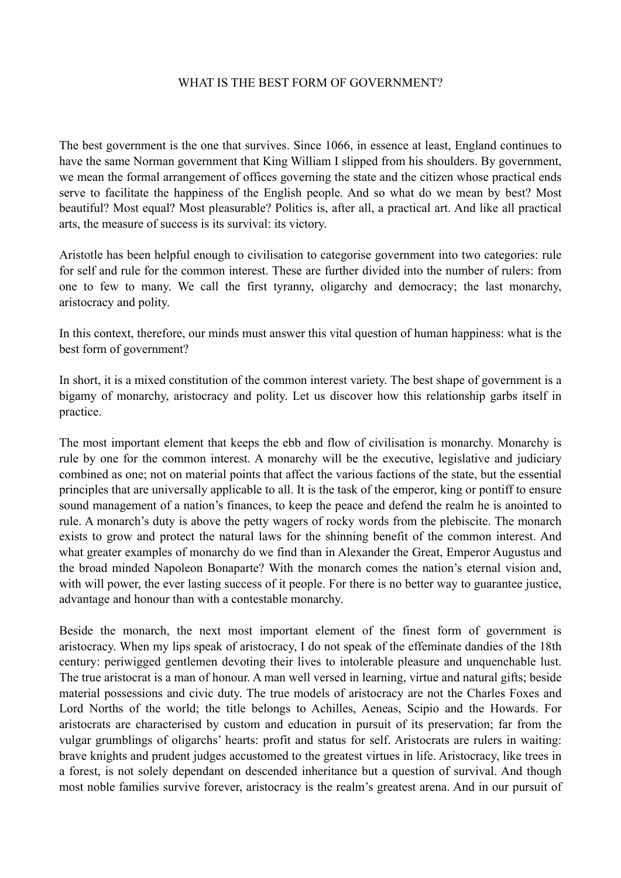## WHAT IS THE BEST FORM OF GOVERNMENT?

The best government is the one that survives. Since 1066, in essence at least, England continues to have the same Norman government that King William I slipped from his shoulders. By government, we mean the formal arrangement of offices governing the state and the citizen whose practical ends serve to facilitate the happiness of the English people. And so what do we mean by best? Most beautiful? Most equal? Most pleasurable? Politics is, after all, a practical art. And like all practical arts, the measure of success is its survival: its victory.

Aristotle has been helpful enough to civilisation to categorise government into two categories: rule for self and rule for the common interest. These are further divided into the number of rulers: from one to few to many. We call the first tyranny, oligarchy and democracy; the last monarchy, aristocracy and polity.

In this context, therefore, our minds must answer this vital question of human happiness: what is the best form of government?

In short, it is a mixed constitution of the common interest variety. The best shape of government is a bigamy of monarchy, aristocracy and polity. Let us discover how this relationship garbs itself in practice.

The most important element that keeps the ebb and flow of civilisation is monarchy. Monarchy is rule by one for the common interest. A monarchy will be the executive, legislative and judiciary combined as one; not on material points that affect the various factions of the state, but the essential principles that are universally applicable to all. It is the task of the emperor, king or pontiff to ensure sound management of a nation's finances, to keep the peace and defend the realm he is anointed to rule. A monarch's duty is above the petty wagers of rocky words from the plebiscite. The monarch exists to grow and protect the natural laws for the shinning benefit of the common interest. And what greater examples of monarchy do we find than in Alexander the Great, Emperor Augustus and the broad minded Napoleon Bonaparte? With the monarch comes the nation's eternal vision and, with will power, the ever lasting success of it people. For there is no better way to guarantee justice, advantage and honour than with a contestable monarchy.

Beside the monarch, the next most important element of the finest form of government is aristocracy. When my lips speak of aristocracy, I do not speak of the effeminate dandies of the 18th century: periwigged gentlemen devoting their lives to intolerable pleasure and unquenchable lust. The true aristocrat is a man of honour. A man well versed in learning, virtue and natural gifts; beside material possessions and civic duty. The true models of aristocracy are not the Charles Foxes and Lord Norths of the world; the title belongs to Achilles, Aeneas, Scipio and the Howards. For aristocrats are characterised by custom and education in pursuit of its preservation; far from the vulgar grumblings of oligarchs' hearts: profit and status for self. Aristocrats are rulers in waiting: brave knights and prudent judges accustomed to the greatest virtues in life. Aristocracy, like trees in a forest, is not solely dependant on descended inheritance but a question of survival. And though most noble families survive forever, aristocracy is the realm's greatest arena. And in our pursuit of